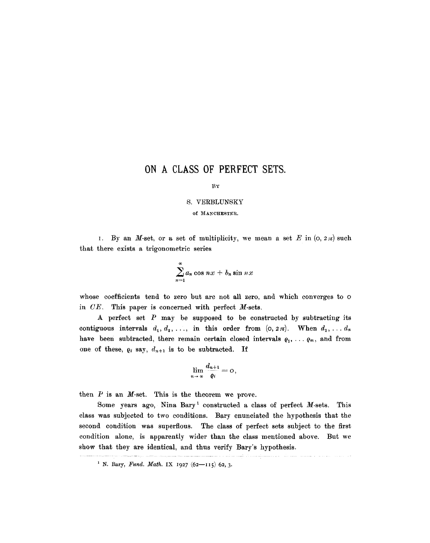## **ON A CLASS OF PERFECT SETS.**

BY

## S. VERBLUNSKY

of MANCHESTER.

I. By an M-set, or a set of multiplicity, we mean a set E in  $(0, 2\pi)$  such that there exists a trigonometric series

$$
\sum_{n=1}^{\infty} a_n \cos nx + b_n \sin nx
$$

whose coefficients tend to zero but are not all zero, and which converges to  $\circ$ in *CE.* This paper is concerned with perfect M-sets.

A perfect set  $P$  may be supposed to be constructed by subtracting its contiguous intervals  $d_1, d_2, \ldots$ , in this order from  $(0, 2\pi)$ . When  $d_1, \ldots, d_n$ have been subtracted, there remain certain closed intervals  $\varrho_1, \ldots, \varrho_m$ , and from one of these,  $\varrho_i$  say,  $d_{n+1}$  is to be subtracted. If

$$
\lim_{n\to\infty}\frac{d_{n+1}}{\varrho_i}=0,
$$

then  $P$  is an  $M$ -set. This is the theorem we prove.

Some years ago, Nina Bary<sup>1</sup> constructed a class of perfect  $M$ -sets. This class was subjected to two conditions. Bary enunciated the hypothesis that the second condition was superflous. The class of perfect sets subject to the first condition alone, is apparently wider than the class mentioned above. But we show that they are identical, and thus verify Bary's hypothesis.

<sup>&</sup>lt;sup>1</sup> N. Bary, *Fund. Math.* IX 1927  $(62 - 115)$  62, 3.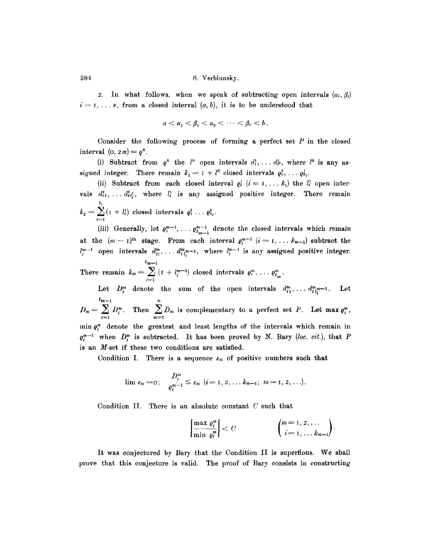2. In what follows, when we speak of subtracting open intervals  $(a_i, \beta_i)$  $i=1,\ldots$  v, from a closed interval  $(a, b)$ , it is to be understood that

$$
a<\alpha_1<\beta_1<\alpha_2<\cdots<\beta_v
$$

Consider the following process of forming a perfect set  $P$  in the closed interval  $(o, 2\pi) = \varrho^0$ .

(i) Subtract from  $\rho^0$  the  $l^0$  open intervals  $d_1^1, \ldots, d_p^1$ , where  $l^0$  is any assigned integer. There remain  $k_1 = I + l^0$  closed intervals  $\varrho_1^1, \ldots, \varrho_{k_1}^1$ .

(ii) Subtract from each closed interval  $\rho_i^i$  ( $i=1,\ldots k_1$ ) the  $l_i^i$  open intervals  $d_{i1}^2, \ldots, d_{il}^2$ , where  $l_i^1$  is any assigned positive integer. There remain kt  $k_2 = \sum (1 + l_i)$  closed intervals  $\varrho_1^2 \ldots \varrho_{k_2}^2$ .

(iii) Generally, let  $\varrho_i^{m-1}, \ldots \varrho_{k_{m-1}}^{m-1}$  denote the closed intervals which remain at the  $(m-1)$ <sup>th</sup> stage. From each interval  $e_i^{m-1}$   $(i=1,\ldots k_{m-1})$  subtract the  $l_i^{m-1}$  open intervals  $d_i^m, \ldots, d_{i}^{m} n-1$ , where  $l_i^{m-1}$  is any assigned positive integer. *km~l* 

There remain  $k_m = \sum_{i=1}^m (1 + l_i^{m-1})$  closed intervals  $\varrho_i^m, \ldots, \varrho_k^m$ i=1

Let  $D_i^m$  denote the sum of the open intervals  $d_{i1}^m, \ldots, d_{i l_i^m-1}^m$ . Let  $k_{m-1}$  $D_m = \sum D_i^m$ . Then  $\sum D_m$  is complementary to a perfect set P. Let max  $\varrho_i^m$ ,  $i=1$   $m=1$  $r_n$  min  $e_i^m$  denote the greatest and least lengths of the intervals which remain in  $\varrho_i^{m-1}$  when  $D_i^m$  is subtracted. It has been proved by N. Bary *(loc. cit.),* that P is an M-set if these two conditions are satisfied.

Condition I. There is a sequence  $\varepsilon_m$  of positive numbers such that

$$
\lim_{\varepsilon_m} \varepsilon_m = 0; \quad \frac{D_i^m}{\varrho_i^{m-1}} \leq \varepsilon_m \ \ (i=1, 2, \ldots k_{m-1}; \ \ m=1, 2, \ldots).
$$

Condition II. There is an absolute constant  $C$  such that

$$
\left|\frac{\max\varrho_i^m}{\min\varrho_i^m}\right|
$$

It was conjectured by Bary that the Condition II is superflous. We shall prove that this conjecture is valid, The proof of Bary consists in constructing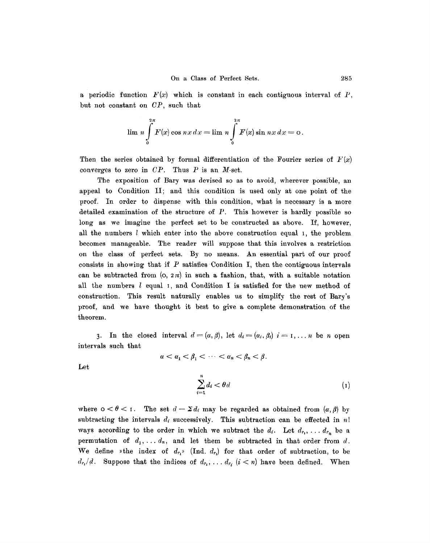a periodic function  $F(x)$  which is constant in each contiguous interval of P, but not constant on *CP,* such that

$$
\lim n \int_{0}^{2\pi} F(x) \cos nx \, dx = \lim n \int_{0}^{2\pi} F(x) \sin nx \, dx = 0.
$$

Then the series obtained by formal differentiation of the Fourier series of  $F(x)$ converges to zero in *CP.* Thus P is an M-set.

The exposition of Bary was devised so as to avoid, wherever possible, an appeal to Condition II; and this condition is used only at one point of the proof. In order to dispense with this condition, what is necessary is a more detailed examination of the structure of  $P$ . This however is hardly possible so long as we imagine the perfect set to be constructed as above. If, however, all the numbers  $l$  which enter into the above construction equal  $l$ , the problem becomes manageable. The reader will suppose that this involves a restriction on the class of perfect sets. By no means. An essential part of our proof consists in showing that if  $P$  satisfies Condition I, then the contiguous intervals can be subtracted from  $(0, 2\pi)$  in such a fashion, that, with a suitable notation all the numbers l equal I, and Condition I is satisfied for the new method of construction. This result naturally enables us to simplify the rest of Bary's proof, and we have thought it best to give a complete demonstration of the theorem.

3. In the closed interval  $d=({\alpha, \beta})$ , let  $d_i={\alpha_i, \beta_i}$   $i=1,\ldots, n$  be n open intervals such that

 $\alpha < \alpha_1 < \beta_1 < \cdots < \alpha_n < \beta_n < \beta$ .

Let

$$
\sum_{i=1}^{n} d_i < \theta \, d \tag{1}
$$

where  $0 < \theta < 1$ . The set  $d - \Sigma d_i$  may be regarded as obtained from  $(\alpha, \beta)$  by subtracting the intervals  $d_i$  successively. This subtraction can be effected in  $n!$ ways according to the order in which we subtract the  $d_i$ . Let  $d_{r_1}, \ldots, d_{r_n}$  be a permutation of  $d_1, \ldots, d_n$ , and let them be subtracted in that order from d. We define  $\ast$ the index of  $d_{r_1}$ <sup>\*</sup> (Ind.  $d_{r_1}$ ) for that order of subtraction, to be  $d_{r_i}/d$ . Suppose that the indices of  $d_{r_i},\ldots,d_{r_i}$  ( $i < n$ ) have been defined. When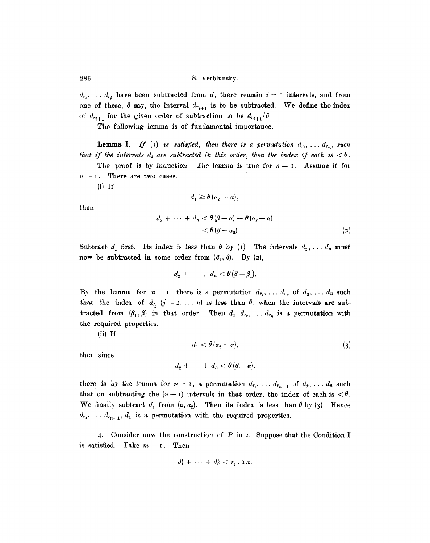$d_{r_1}, \ldots, d_{r_i}$  have been subtracted from d, there remain  $i + 1$  intervals, and from one of these,  $\delta$  say, the interval  $d_{r_{i+1}}$  is to be subtracted. We define the index of  $d_{r_{i+1}}$  for the given order of subtraction to be  $d_{r_{i+1}}/\delta$ .

The following lemma is of fundamental importance.

**Lemma I.** If (1) is satisfied, then there is a permutation  $d_{r_1}, \ldots, d_{r_n}$ , such *that if the intervals d<sub>i</sub> are subtracted in this order, then the index of each is*  $\lt \theta$ .

The proof is by induction. The lemma is true for  $n = 1$ . Assume it for  $n-1$ . There are two cases.

 $(i)$  If

$$
d_1 \geq \theta\left(\alpha_2 - \alpha\right),
$$

then

$$
d_{\mathfrak{s}} + \cdots + d_{n} < \theta(\beta - \alpha) - \theta(\alpha_{\mathfrak{s}} - \alpha) \\
&< \theta(\beta - \alpha_{\mathfrak{s}}). \tag{2}
$$

Subtract  $d_1$  first. Its index is less than  $\theta$  by (1). The intervals  $d_2, \ldots, d_n$  must now be subtracted in some order from  $(\beta_1, \beta)$ . By (2),

$$
d_2 + \cdots + d_n < \theta(\beta - \beta_1).
$$

By the lemma for  $n-1$ , there is a permutation  $d_{r_1}, \ldots, d_{r_n}$  of  $d_2, \ldots, d_n$  such that the index of  $d_{r_j}$   $(j = 2, \ldots n)$  is less than  $\theta$ , when the intervals are subtracted from  $(\beta_1, \beta)$  in that order. Then  $d_1, d_{r_2}, \ldots, d_{r_n}$  is a permutation with the required properties.

(ii) If

$$
d_1 < \theta \left( \alpha_2 - \alpha \right), \tag{3}
$$

then since

$$
d_2 + \cdots + d_n < \theta(\beta - \alpha),
$$

there is by the lemma for  $n-1$ , a permutation  $d_{r_1}, \ldots, d_{r_{n-1}}$  of  $d_2, \ldots, d_n$  such that on subtracting the  $(n-1)$  intervals in that order, the index of each is  $< \theta$ . We finally subtract  $d_1$  from  $(\alpha, \alpha_2)$ . Then its index is less than  $\theta$  by (3). Hence  $d_{r_1}, \ldots, d_{r_{n-1}}, d_1$  is a permutation with the required properties.

4. Consider now the construction of P in 2. Suppose that the Condition I is satisfied. Take  $m = 1$ . Then

$$
d_1^1 + \cdots + d_p^1 < \varepsilon_1 \cdot 2\pi.
$$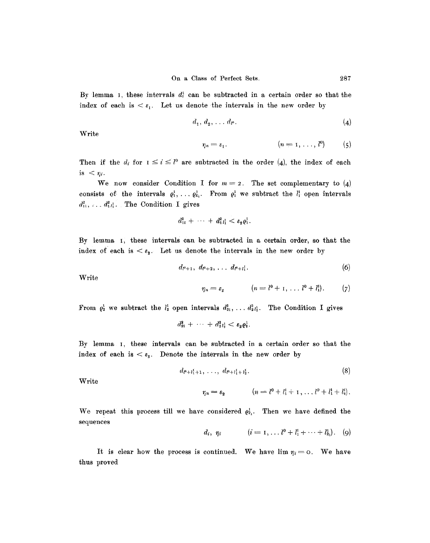By lemma I, these intervals  $d_i^i$  can be subtracted in a certain order so that the index of each is  $\leq \varepsilon_1$ . Let us denote the intervals in the new order by

$$
d_1, d_2, \ldots d_{l^{\alpha}}.\tag{4}
$$

Write

$$
\eta_n=\varepsilon_1.\qquad \qquad (n=1,\ldots,l^0)\qquad \quad (5)
$$

Then if the  $d_i$  for  $I \leq i \leq l^0$  are subtracted in the order (4), the index of each is  $\langle \eta_i \rangle$ 

We now consider Condition I for  $m = 2$ . The set complementary to (4) consists of the intervals  $\varrho_1^1, \ldots, \varrho_{k_1}^1$ . From  $\varrho_1^1$  we subtract the  $l_1^1$  open intervals  $d_{11}^2$ , ...  $d_{1}^2$ , The Condition I gives

$$
d_{11}^2 + \cdots + d_{1}^2 l_1^1 < \varepsilon_2 \varrho_1^1.
$$

By lemma I, these intervals can be subtracted in a certain order, so that the index of each is  $\lt \varepsilon_2$ . Let us denote the intervals in the new order by

$$
d_{l^0+1}, d_{l^0+2}, \ldots d_{l^0+l_1^1}. \hspace{1.5cm} (6)
$$

Write

$$
\eta_n=\varepsilon_2 \qquad (n=l^0+1,\ldots l^0+l_1^1). \qquad (7)
$$

From  $\varrho_2^1$  we subtract the  $l_2^1$  open intervals  $d_{21}^2$ , ...,  $d_{2l_2}^2$ . The Condition I gives

 $d_{21}^2 + \cdots + d_{2l_2}^2 < \varepsilon_2 \varrho_2^1$ .

By lemma i, these intervals can be subtracted in a certain order so that the index of each is  $\lt \epsilon_2$ . Denote the intervals in the new order by

$$
d_{l^0+1_1^1+1},\ldots,d_{l^0+l_1^1+l_2^1}.\tag{8}
$$

Write

$$
\eta_n = \varepsilon_2 \qquad (n = l^0 + l_1^1 + 1, \ldots l^0 + l_1^1 + l_2^1).
$$

We repeat this process till we have considered  $q_k^i$ . Then we have defined the sequences

$$
d_i, \eta_i \qquad (i = 1, \ldots l^0 + l_1^1 + \cdots + l_{k_1}^1). \quad (9)
$$

It is clear how the process is continued. We have  $\lim \eta_i = o$ . We have thus proved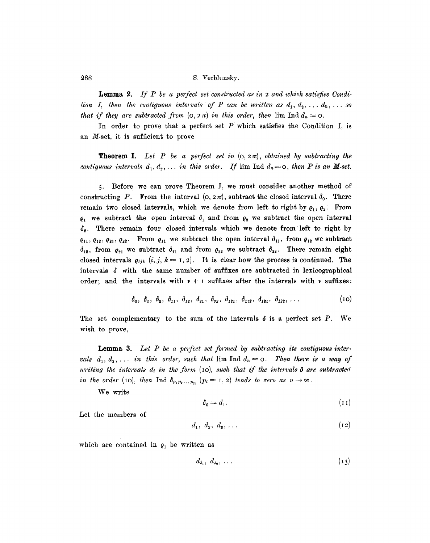Lemma 2. *If P be a perfect set constructed as in 2 and which satisfies Condition I, then the contiguous intervals of P can be written as*  $d_1, d_2, \ldots, d_n, \ldots$  *so that if they are subtracted from*  $(o, 2\pi)$  *in this order, then*  $\lim_{n \to \infty} \ln d_n = o$ .

In order to prove that a perfect set  $P$  which satisfies the Condition I, is an M-set, it is sufficient to prove

**Theorem I.** Let P be a perfect set in  $(0, 2\pi)$ , obtained by subtracting the *contiguous intervals*  $d_1, d_2, \ldots$  *in this order.* If  $\lim_{n \to \infty} \ln d_n = 0$ , *then* P *is an* M-set.

5. Before we can prove Theorem I, we must consider another method of constructing P. From the interval  $(0, 2\pi)$ , subtract the closed interval  $\delta_0$ . There remain two closed intervals, which we denote from left to right by  $\rho_1$ ,  $\rho_2$ . From  $\varrho_1$  we subtract the open interval  $\delta_1$  and from  $\varrho_2$  we subtract the open interval  $\delta_2$ . There remain four closed intervals which we denote from left to right by  $\varrho_{11}, \varrho_{12}, \varrho_{21}, \varrho_{22}$ . From  $\varrho_{11}$  we subtract the open interval  $\delta_{11}$ , from  $\varrho_{12}$  we subtract  $\delta_{12}$ , from  $\varrho_{21}$  we subtract  $\delta_{21}$  and from  $\varrho_{22}$  we subtract  $\delta_{22}$ . There remain eight closed intervals  $\rho_{ijk}$   $(i, j, k = 1, 2)$ . It is clear how the process is continued. The intervals  $\delta$  with the same number of suffixes are subtracted in lexicographical order; and the intervals with  $\nu + i$  suffixes after the intervals with  $\nu$  suffixes:

$$
\delta_0, \delta_1, \delta_2, \delta_{11}, \delta_{12}, \delta_{21}, \delta_{22}, \delta_{121}, \delta_{112}, \delta_{121}, \delta_{122}, \ldots
$$
 (10)

The set complementary to the sum of the intervals  $\delta$  is a perfect set P. We wish to prove,

Lemma 3. Let P be a perfect set formed by subtracting its contiguous intervals  $d_1, d_2, \ldots$  in this order, such that  $\lim_{n \to \infty} \text{Ind } d_n = 0$ . Then there is a way of *writing the intervals*  $d_i$  *in the form (10), such that if the intervals*  $\delta$  *are subtracted in the order* (IO), *then* Ind  $\delta_{p_1p_2...p_n}$   $(p_i = 1, 2)$  *tends to zero as*  $n \to \infty$ .

We write

$$
\delta_0 = d_1. \tag{11}
$$

Let the members of

$$
d_1, d_2, d_3, \ldots \tag{12}
$$

which are contained in  $\rho_1$  be written as

$$
d_{\lambda_1}, d_{\lambda_2}, \ldots \hspace{1cm} (13)
$$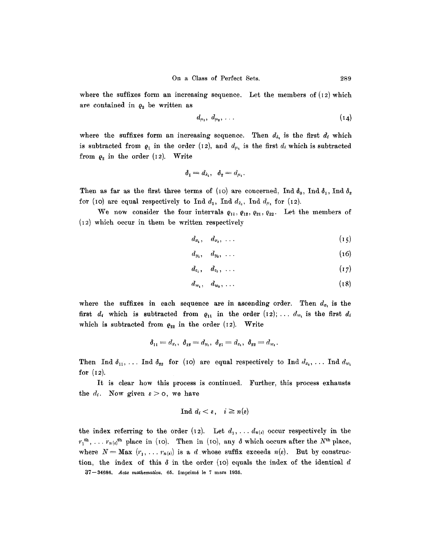where the suffixes form an increasing sequence. Let the members of  $(12)$  which are contained in  $\varrho_2$  be written as

$$
d_{\mu_1}, d_{\mu_2}, \ldots \hspace{1cm} (14)
$$

where the suffixes form an increasing sequence. Then  $d_{\lambda}$  is the first  $d_{\ell}$  which is subtracted from  $q_1$  in the order (12), and  $d_{\mu_1}$  is the first  $d_i$  which is subtracted from  $\varrho_2$  in the order (12). Write

$$
\delta_1=d_{\lambda_1}, \quad \delta_2=d_{\mu_1}.
$$

Then as far as the first three terms of (10) are concerned, Ind  $\delta_0$ , Ind  $\delta_1$ , Ind  $\delta_2$ for (10) are equal respectively to Ind  $d_1$ , Ind  $d_{\lambda_1}$ , Ind  $d_{\mu_1}$  for (12).

We now consider the four intervals  $\varrho_{11}, \varrho_{12}, \varrho_{21}, \varrho_{22}$ . Let the members of (12) which occur in them be written respectively

$$
d_{x_1}, \quad d_{x_2}, \quad \ldots \tag{15}
$$

$$
d_{y_1}, \quad d_{y_2}, \quad \ldots \tag{16}
$$

$$
d_{z_1}, \quad d_{z_2}, \quad \ldots \tag{17}
$$

$$
d_{w_1}, \quad d_{w_2}, \ldots \tag{18}
$$

where the suffixes in each sequence are in ascending order. Then  $d_{x_1}$  is the first  $d_i$  which is subtracted from  $\varrho_{11}$  in the order  $(12); \ldots, d_{w_i}$  is the first  $d_i$ which is subtracted from  $\varrho_{22}$  in the order (12). Write

$$
\delta_{11} = d_{x_1}, \ \delta_{12} = d_{y_1}, \ \delta_{21} = d_{z_1}, \ \delta_{22} = d_{w_1}
$$

Then Ind  $\delta_{11}$ , ... Ind  $\delta_{22}$  for (10) are equal respectively to Ind  $d_{x_1}$ , ... Ind  $d_{w_1}$ for  $(12)$ .

It is clear how this process is continued. Further, this process exhausts the  $d_i$ . Now given  $\varepsilon>0$ , we have

$$
\text{Ind } d_i < \varepsilon, \quad i \geq n(\varepsilon)
$$

the index referring to the order (12). Let  $d_1, \ldots, d_{n(\epsilon)}$  occur respectively in the  $r_1^{\text{th}},\ldots r_{n(\epsilon)}^{\text{th}}$  place in (10). Then in (10), any  $\delta$  which occurs after the N<sup>th</sup> place, where  $N = Max (r_1, \ldots r_{n(\epsilon)})$  is a d whose suffix exceeds  $n(\epsilon)$ . But by construction, the index of this  $\delta$  in the order (10) equals the index of the identical d 37-34686. *Acta mathematica*. 65. Imprimé le 7 mars 1935.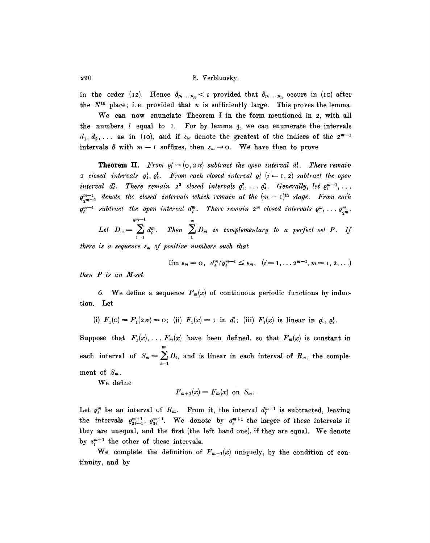~90 S. Verblunsky.

in the order (12). Hence  $\delta_{p_1...p_n} < \varepsilon$  provided that  $\delta_{p_2...p_n}$  occurs in (10) after the  $N<sup>th</sup>$  place; i.e. provided that n is sufficiently large. This proves the lemma.

We can now enunciate Theorem I in the form mentioned in 2, with all the numbers  $l$  equal to I. For by lemma 3, we can enumerate the intervals  $d_1, d_2, \ldots$  as in (10), and if  $\varepsilon_m$  denote the greatest of the indices of the  $2^{m-1}$ intervals  $\delta$  with  $m-1$  suffixes, then  $\varepsilon_m \to \infty$ . We have then to prove

**Theorem II.** *From*  $\rho_i^0 = (0, 2\pi)$  *subtract the open interval d*<sup>1</sup>. *There remain 2 closed intervals*  $\mathbf{e}_1^1, \mathbf{e}_2^1$ . From each closed interval  $\mathbf{e}_i^1$  ( $i = 1, 2$ ) subtract the open *interval d*<sup>2</sup>*. There remain*  $2^2$  *closed intervals*  $\mathbf{e}_1^2, \ldots, \mathbf{e}_4^2$ *. Generally, let*  $\mathbf{e}_1^{m-1}, \ldots$  $e_{nm-1}^{m-1}$  denote the closed intervals which remain at the  $(m-1)$ <sup>th</sup> *stage.* From each  $\varrho_i^{m-1}$  subtract the open interval  $d_i^m$ . There remain  $2^m$  closed intervals  $\varrho_1^m$ , ...  $\varrho_{2^m}^m$ .

 $2^{m-1}$ Let  $D_m = \sum d_i^m$ . Then  $\sum D_m$  is complementary to a perfect set P. If *i*=1 1

*there is a sequence*  $\varepsilon_m$  of positive numbers such that

$$
\lim \varepsilon_m = 0, \ d_i^{m}/\varrho_i^{m-1} \leq \varepsilon_m, \ (i = 1, \ldots 2^{m-1}, m = 1, 2, \ldots)
$$

 $then P is an M-set.$ 

6. We define a sequence  $F_m(x)$  of continuous periodic functions by induction. Let

(i) 
$$
F_1(\text{O}) = F_1(2\pi) = \text{O}
$$
; (ii)  $F_1(x) = \text{I}$  in  $d_1^1$ ; (iii)  $F_1(x)$  is linear in  $\rho_1^1$ ,  $\rho_2^1$ .

Suppose that  $F_1(x), \ldots, F_m(x)$  have been defined, so that  $F_m(x)$  is constant in each interval of  $S_m = \sum D_i$ , and is linear in each interval of  $R_m$ , the comple- $\left( -1 \right)$ ment of  $S_m$ .

We define

$$
F_{m+1}(x) = F_m(x)
$$
 on  $S_m$ .

Let  $\varrho_i^m$  be an interval of  $R_m$ . From it, the interval  $d_i^{m+1}$  is subtracted, leaving the intervals  $q_{2i-1}^{m+1}$ ,  $q_{2i}^{m+1}$ . We denote by  $q_i^{m+1}$  the larger of these intervals if they are unequal, and the first (the left hand one), if they are equal. We denote by  $r^{m+1}$  the other of these intervals.

We complete the definition of  $F_{m+1}(x)$  uniquely, by the condition of continuity, and by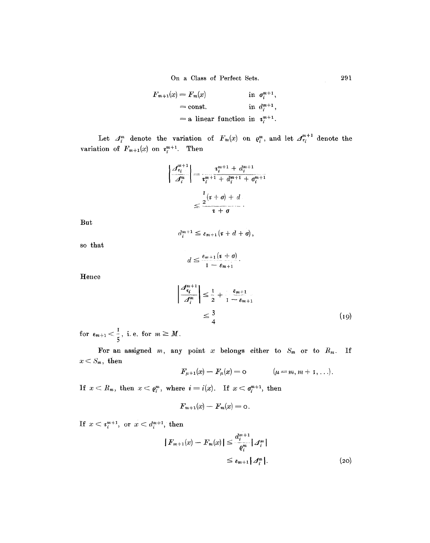On a Class of Perfect Sets. 29l

$$
F_{m+1}(x) = F_m(x)
$$
 in  $\sigma_i^{m+1}$ ,  
= const. in  $d_i^{m+1}$ ,  
= a linear function in  $\tau_i^{m+1}$ .

Let  $A_i^m$  denote the variation of  $F_m(x)$  on  $e_i^m$ , and let  $A_{\tau_i}^{m+1}$  denote the variation of  $F_{m+1}(x)$  on  $\tau_i^{m+1}$ . Then

$$
\left|\frac{\mathcal{A}_{\tau_i}^{m+1}}{\mathcal{A}_i^m}\right| = \frac{\tau_i^{m+1} + d_i^{m+1}}{\tau_i^{m+1} + d_i^{m+1} + \sigma_i^{m+1}}
$$

$$
\leq \frac{\frac{1}{2}(\tau + \sigma) + d}{\tau + \sigma}.
$$

**But** 

$$
d_i^{m+1} \leq \varepsilon_{m+1}(\mathbf{r} + d + \mathbf{0}),
$$

so that

$$
d\leq \frac{\varepsilon_{m+1}(i+\sigma)}{1-\varepsilon_{m+1}}.
$$

Hence

$$
\left|\frac{\mathcal{A}_{\epsilon_i}^{m+1}}{\mathcal{A}_i^m}\right| \leq \frac{1}{2} + \frac{\epsilon_{m+1}}{1 - \epsilon_{m+1}}
$$
\n
$$
\leq \frac{3}{4} \tag{19}
$$

for  $\epsilon_{m+1} < \frac{1}{a}$ , i.e. for  $m \geq M$ .

For an assigned m, any point x belongs either to  $S_m$  or to  $R_m$ . If  $x < S_m$ , then

$$
F_{\mu+1}(x) - F_{\mu}(x) = 0
$$
 ( $\mu = m, m + 1, ...$ ).

If  $x < R_m$ , then  $x < \varrho_i^m$ , where  $i = i(x)$ . If  $x < \varrho_i^{m+1}$ , then

$$
F_{m+1}(x) - F_m(x) = \mathsf{o}.
$$

If  $x < i^{m+1}$ , or  $x < d^{m+1}$ , then

$$
|F_{m+1}(x) - F_m(x)| \leq \frac{d_i^{m+1}}{q_i^m} |J_i^m|
$$
  

$$
\leq \varepsilon_{m+1} |J_i^m|.
$$
 (20)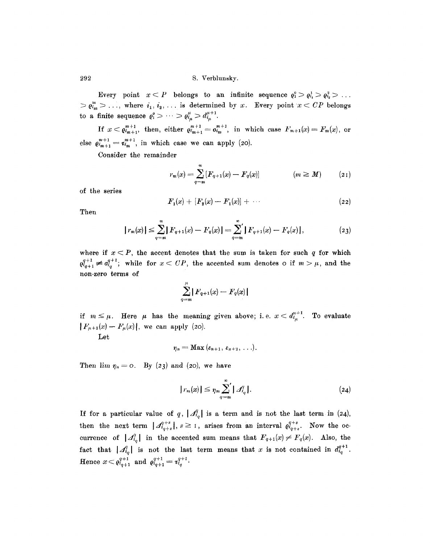Every point  $x \leq P$  belongs to an infinite sequence  $\varrho_1^0 > \varrho_{i_1}^1 > \varrho_{i_2}^2 > \ldots$  $> \varrho_{i_m}^m > \ldots$ , where  $i_1, i_2, \ldots$  is determined by x. Every point  $x < CP$  belongs  $J^{tt+1}$ to a finite sequence  $\varrho_1^{\circ} > \cdots > \varrho_{i_{\mu}}^{\circ} > d_{i_{\mu}}^{\circ}$ .

If  $x < \varrho_{m+1}^{m+1}$ , then, either  $\varrho_{m+1}^{m+1} = \varrho_{m}^{m+1}$ , in which case  $F_{m+1}(x) = F_m(x)$ , or else  $\varrho_{m+1}^{m+1} = \tau_{m}^{m+1}$ , in which case we can apply (20).

Consider the remainder

$$
r_m(x) = \sum_{q=m}^{\infty} [F_{q+1}(x) - F_q(x)] \qquad (m \ge M) \qquad (21)
$$

of the series

$$
F_1(x) + [F_2(x) - F_1(x)] + \cdots \qquad (22)
$$

Then

$$
|r_m(x)| \leq \sum_{q=m}^{\infty} |F_{q+1}(x) - F_q(x)| = \sum_{q=m}^{\infty} |F_{q+1}(x) - F_q(x)|,
$$
 (23)

where if  $x < P$ , the accent denotes that the sum is taken for such q for which  $q_{i_{q+1}}^{q+1} \neq q_{i_q}^{q+1}$ ; while for  $x < CP$ , the accented sum denotes o if  $m > \mu$ , and the non-zero terms of

$$
\sum_{q=m}^{\mu} |F_{q+1}(x)-F_q(x)|
$$

if  $m \leq \mu$ . Here  $\mu$  has the meaning given above; i.e.  $x < d_{i_n}^{\mu+1}$ . To evaluate  $|F_{\mu+1}(x)-F_{\mu}(x)|$ , we can apply (20).

Let

$$
\eta_n=\text{Max}(\varepsilon_{n+1},\,\varepsilon_{n+2},\,\ldots).
$$

Then  $\lim_{n \to \infty} \eta_n = 0$ . By (23) and (20), we have

$$
|r_m(x)| \leq \eta_m \sum_{q=m}^{\infty} |A'_{i_q}|.
$$
 (24)

If for a particular value of q,  $|\mathcal{A}_q^q|$  is a term and is not the last term in (24), then the next term  $|{\mathcal A}_{i_{\alpha+s}}^{q+s}|, s\geq 1$ , arises from an interval  $\varrho_{i_{\alpha+s}}^{q+s}$ . Now the occurrence of  $| \mathcal{A}_{i_q}^q |$  in the accented sum means that  $F_{q+1}(x) \neq F_q(x)$ . Also, the fact that  $|\mathcal{A}_{i_q}^q|$  is not the last term means that x is not contained in  $d_{i_q}^{q+1}$ . Hence  $x < \varrho_{i_{q+1}}^{q+1}$  and  $\varrho_{i_{q+1}}^{q+1} = \tau_{i_q}^{q+1}$ .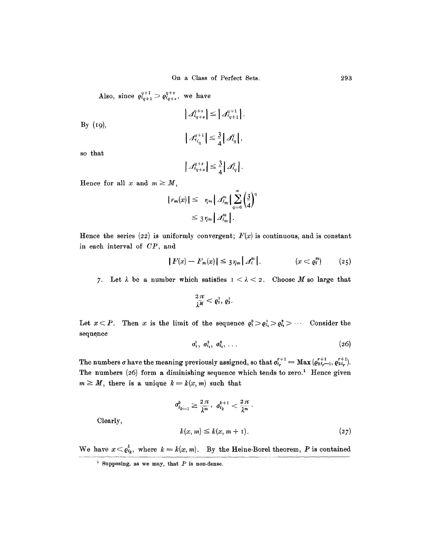Also, since  $\varrho_{i_{q+1}}^{q+1} > \varrho_{i_{q+s}}^{q+s}$ , we have

 $|A_{i_{q+1}}^{q+s}| \leq |A_{i_{q+1}}^{q+1}|.$  $By (19),$  $|A_{i_q}^{q+1}| \leq \frac{3}{4} |A_{i_q}^q|,$ 

so that

$$
\left|\mathcal{A}_{q+s}^{q+s}\right|\leq\frac{3}{4}\left|\mathcal{A}_{q}^{q}\right|.
$$

Hence for all x and  $m \geq M$ ,

$$
|r_m(x)| \leq \eta_m \left| \Delta_{i_m}^m \right| \sum_{q=0}^{\infty} \left( \frac{3}{4} \right)^q
$$
  

$$
\leq 3 \eta_m \left| \Delta_{i_m}^m \right|.
$$

Hence the series (22) is uniformly convergent;  $F(x)$  is continuous, and is constant in each interval of CP, and

$$
|F(x) - F_m(x)| \leq 3\eta_m \left| \mathcal{A}_i^m \right|.
$$
  $(x < \varrho_i^m)$  (25)

7. Let  $\lambda$  be a number which satisfies  $1 < \lambda < 2$ . Choose M so large that

$$
\frac{2\pi}{\lambda^M}<\varrho_1^1,\varrho_2^1.
$$

Let  $x \leq P$ . Then x is the limit of the sequence  $\varrho_1^0 > \varrho_{i_1}^1 > \varrho_{i_2}^2 > \cdots$  Consider the sequence

$$
\sigma_1^1, \sigma_{i_1}^2, \sigma_{i_2}^3, \ldots \hspace{1.5cm} (26)
$$

The numbers  $\sigma$  have the meaning previously assigned, so that  $\sigma_{i_r}^{r+1} = \text{Max} ( \varrho_{2i_r-1}^{r+1}, \varrho_{2i_r}^{r+1}).$ The numbers (26) form a diminishing sequence which tends to zero.<sup>1</sup> Hence given  $m \geq M$ , there is a unique  $k = k(x, m)$  such that

$$
\sigma_{i_{k-1}}^k \ge \frac{2\pi}{\lambda^m}, \ \sigma_{i_k}^{k+1} < \frac{2\pi}{\lambda^m}.
$$
\n
$$
k(x, m) \le k(x, m+1).
$$
\n
$$
(27)
$$

We have  $x < \varrho_{i_k}^k$ , where  $k = k(x, m)$ . By the Heine-Borel theorem, P is contained

Clearly,

<sup>&</sup>lt;sup>1</sup> Supposing, as we may, that  $P$  is non-dense.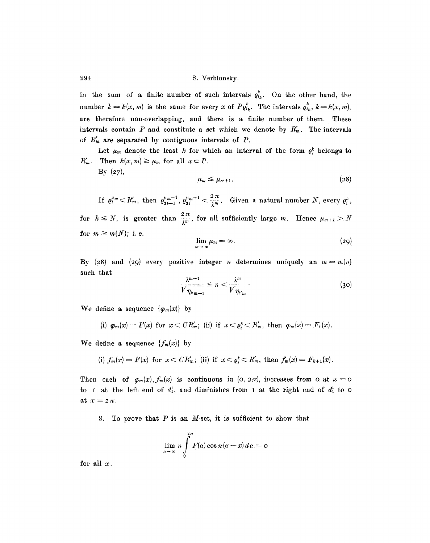in the sum of a finite number of such intervals  $\varrho_{i_k}^k$ . On the other hand, the number  $k = k(x, m)$  is the same for every x of  $P\mathfrak{e}_{i_k}^k$ . The intervals  $\mathfrak{e}_{i_k}^k$ ,  $k = k(x, m)$ , are therefore non-overlapping, and there is a finite number of them. These intervals contain P and constitute a set which we denote by  $R'_m$ . The intervals of  $R'_{m}$  are separated by contiguous intervals of  $P$ .

Let  $\mu_m$  denote the least k for which an interval of the form  $\varrho_i^k$  belongs to  $R'_m$ . Then  $k(x, m) \geq \mu_m$  for all  $x \subset P$ .  $By (27),$ 

$$
\mu_m \leq \mu_{m+1}.\tag{28}
$$

If  $\varrho_i^{\mu_m} \subset R'_m$ , then  $\varrho_{2i-1}^{\mu_m+1}$ ,  $\varrho_{2i}^{\mu_m+1} < \frac{2\pi}{\lambda^m}$ . Given a natural number N, every  $\varrho_i^k$ , for  $k \leq N$ , is greater than  $\frac{2\pi}{\lambda^m}$ , for all sufficiently large m. Hence  $\mu_{m+1} > N$ for  $m \geq m(N)$ ; i.e.

$$
\lim_{m\to\infty}\mu_m=\infty.\tag{29}
$$

By (28) and (29) every positive integer *n* determines uniquely an  $m = m(n)$ such that

$$
\frac{\lambda^{m-1}}{\sqrt{\eta_{\mu_{m-1}}}} \le n < \frac{\lambda^m}{\sqrt{\eta_{\mu_m}}} \tag{30}
$$

We define a sequence  $\{\varphi_m(x)\}\;$  by

(i) 
$$
\varphi_m(x) = F(x)
$$
 for  $x < CR'_m$ ; (ii) if  $x < \varrho_i^k < R'_m$ , then  $\varphi_m(x) = F_k(x)$ .

We define a sequence  $\{f_m(x)\}\;$  by

(i) 
$$
f_m(x) = F(x)
$$
 for  $x < CR'_m$ ; (ii) if  $x < \varrho_i^k < R'_m$ , then  $f_m(x) = F_{k+1}(x)$ .

Then each of  $\varphi_m(x)$ ,  $f_m(x)$  is continuous in (o,  $2\pi$ ), increases from o at  $x = 0$ to I at the left end of  $d_1^1$ , and diminishes from I at the right end of  $d_1^1$  to o at  $x=z\pi$ .

8. To prove that  $P$  is an  $M$ -set, it is sufficient to show that

 $\overline{ }$ 

$$
\lim_{n\to\infty} n \int\limits_{0}^{2\pi} F(\alpha) \cos n(\alpha - x) d\alpha = 0
$$

for all  $x$ .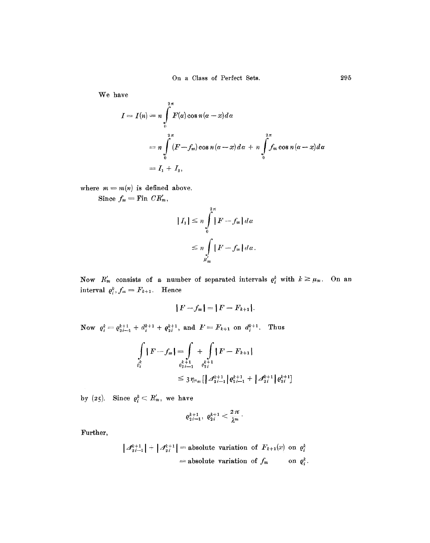**We have** 

$$
I = I(n) = n \int_{0}^{2\pi} F(\alpha) \cos n(\alpha - x) d\alpha
$$
  
=  $n \int_{0}^{2\pi} (F - f_m) \cos n(\alpha - x) d\alpha + n \int_{0}^{2\pi} f_m \cos n(\alpha - x) d\alpha$   
=  $I_1 + I_2$ ,

where  $m = m(n)$  is defined above.

Since  $f_m = \text{Fin } CR'_m$ ,

$$
|I_1| \leq n \int_{0}^{2\pi} |F - f_m| \, d\alpha
$$
  

$$
\leq n \int_{K'_m} |F - f_m| \, d\alpha.
$$

Now  $R'_m$  consists of a number of separated intervals  $\varrho_i^k$  with  $k \geq \mu_m$ . On an **interval**  $\varrho_i^k$ ,  $f_m = F_{k+1}$ . **Hence** 

$$
|F-f_m|=|F-F_{k+1}|.
$$

**Now**  $e_i^k = e_{2i-1}^{k+1} + d_i^{k+1} + e_{2i}^{k+1}$ , and  $F = F_{k+1}$  on  $d_i^{k+1}$ . Thus

$$
\int_{\rho_i^k} |F - f_m| = \int_{\rho_{2i-1}^{k+1}} + \int_{\rho_{2i}^{k+1}} |F - F_{k+1}|
$$
\n
$$
\leq 3 \eta_{\mu_m} [\left| \mathcal{A}_{2i-1}^{k+1} \right| \varrho_{2i-1}^{k+1} + \left| \mathcal{A}_{2i}^{k+1} \right| \varrho_{2i}^{k+1}]
$$

by (25). Since  $\rho_i^k \subset R_m^r$ , we have

$$
\varrho_{2i-1}^{k+1},\ \varrho_{2i}^{k+1} < \frac{2\,\pi}{\lambda^m}.
$$

**Further,** 

$$
|A_{2i-1}^{k+1}| + |A_{2i}^{k+1}| = \text{absolute variation of } F_{k+1}(x) \text{ on } \varrho_i^k
$$
  
= absolute variation of  $f_m$  on  $\varrho_i^k$ .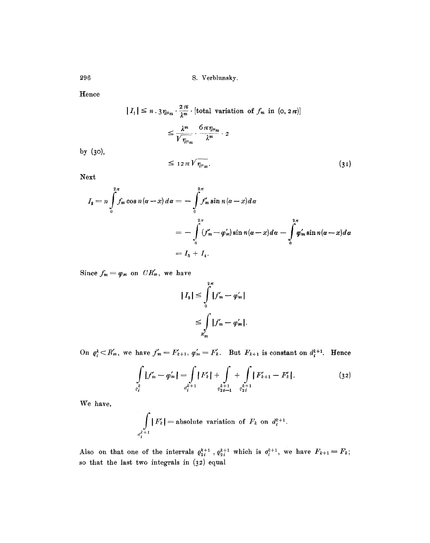296 S. Verbhmsky.

Hence

$$
|I_1| \le n \cdot 3 \eta_{\mu_m} \cdot \frac{2 \pi}{\lambda^m} \cdot [\text{total variation of } f_m \text{ in } (0, 2\pi)]
$$
  

$$
\le \frac{\lambda^m}{\sqrt{\eta_{\mu_m}}} \cdot \frac{6 \pi \eta_{\mu_m}}{\lambda^m} \cdot 2
$$

by (3o),

$$
\leq 12\pi \sqrt[n]{\eta_{\mu_m}}.\tag{31}
$$

Next

$$
I_2 = n \int_0^{2\pi} f_m \cos n(\alpha - x) d\alpha = - \int_0^{2\pi} f'_m \sin n(\alpha - x) d\alpha
$$
  
= 
$$
- \int_0^{2\pi} (f'_m - \varphi'_m) \sin n(\alpha - x) d\alpha - \int_0^{2\pi} \varphi'_m \sin n(\alpha - x) d\alpha
$$
  
= 
$$
I_3 + I_4.
$$

Since  $f_m = \varphi_m$  on  $CR'_m$ , we have

$$
|I_{s}| \leq \int_{0}^{2\pi} |f'_{m} - \varphi'_{m}|
$$
  

$$
\leq \int_{R_{m}} |f'_{m} - \varphi'_{m}|.
$$

On  $\varrho_i^k \subset R'_m$ , we have  $f'_m = F'_{k+1}$ ,  $\varphi'_m = F'_k$ . But  $F_{k+1}$  is constant on  $d_i^{k+1}$ . Hence

$$
\int_{\rho_i^k} |f'_m - \varphi'_m| = \int_{d_i^{k+1}} |F'_k| + \int_{\rho_{2i-1}^{k+1}} + \int_{\rho_{2i}^{k+1}} |F'_{k+1} - F'_k|.
$$
\n(32)

We have,

$$
\int\limits_{d^{k+1}_i} |F'_k| = \text{absolute variation of } F_k \text{ on } d^{k+1}_i.
$$

Also on that one of the intervals  $\varrho_{2i}^{k+1}$ ,  $\varrho_{2i}^{k+1}$  which is  $\sigma_i^{k+1}$ , we have  $F_{k+1} = F_k$ ; so that the last two integrals in  $(32)$  equal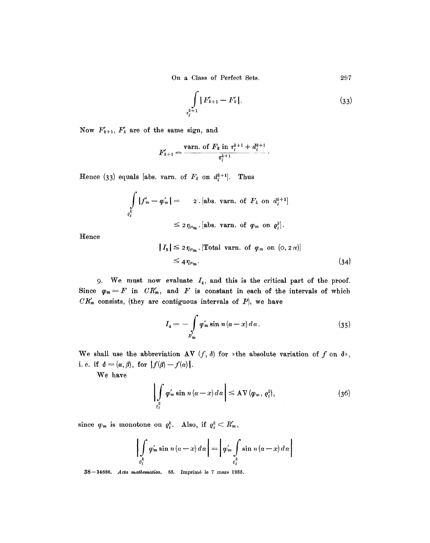On a Class of Perfect Sets. 297

$$
\int\limits_{t_k^{k+1}} |F'_{k+1} - F'_k|.
$$
\n(33)

Now  $F'_{k+1}$ ,  $F'_{k}$  are of the same sign, and

$$
F'_{k+1} = \frac{\text{varn. of } F_k \text{ in } \tau_i^{k+1} + d_i^{k+1}}{\tau_i^{k+1}}.
$$

Hence (33) equals [abs. varn. of  $F_k$  on  $d_i^{k+1}$ . Thus

$$
\iint\limits_{\varrho_i^k} |f'_m - \varphi'_m| = \qquad \text{2. [abs. van. of } F_k \text{ on } d_i^{k+1}]
$$
\n
$$
\leq 2 \eta_{\mu_m} \text{ [abs. van. of } \varphi_m \text{ on } \varrho_i^k].
$$

Hence

$$
|I_{s}| \leq 2 \eta_{\mu_{m}} \cdot [\text{Total varn. of } \varphi_{m} \text{ on } (0, 2\pi)]
$$
  

$$
\leq 4 \eta_{\mu_{m}} \cdot \tag{34}
$$

9. We must now evaluate  $I_4$ , and this is the critical part of the proof. Since  $\varphi_m = F$  in  $CR'_m$ , and  $F$  is constant in each of the intervals of which  $CR'_{m}$  consists, (they are contiguous intervals of  $P$ ), we have

$$
I_4 = -\int\limits_{R'_m} \varphi'_m \sin n (\alpha - x) d\alpha . \qquad (35)
$$

We shall use the abbreviation  $AV(f, d)$  for  $*$ the absolute variation of f on  $d*$ , i.e. if  $\delta = (\alpha, \beta)$ , for  $|f(\beta)-f(\alpha)|$ .

We have

$$
\left| \int\limits_{c_i^k} \varphi'_m \sin n \left( \alpha - x \right) d\alpha \right| \leq \mathrm{AV} \left( \varphi_m, \varrho_i^k \right), \tag{36}
$$

since  $\varphi_m$  is monotone on  $\varrho_i^k$ . Also, if  $\varrho_i^k \subset R'_m$ ,

$$
\left|\int\limits_{\varrho_i^k} \varphi_m' \sin n(\alpha - x) d\alpha\right| = \left|\varphi_m' \int\limits_{\varrho_i^k} \sin n(\alpha - x) d\alpha\right|
$$

38—34686. *Acta mathematica*, 65. Imprimé le 7 mars 1935.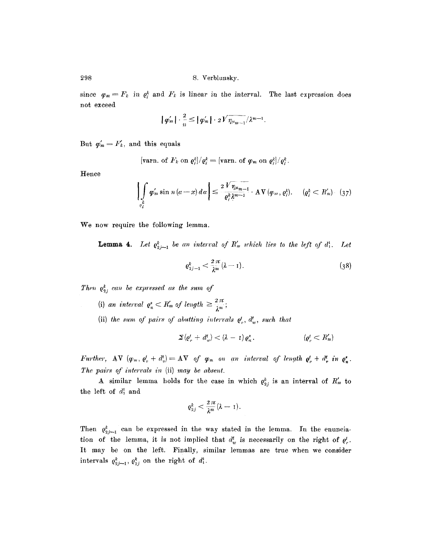since  $\varphi_m = F_k$  in  $\varrho_i^k$  and  $F_k$  is linear in the interval. The last expression does not exceed

$$
| \varphi'_{m} | \cdot \frac{2}{n} \leq | \varphi'_{m} | \cdot 2V \overline{\eta_{\mu_{m-1}}} / \lambda^{m-1}.
$$

But  $\varphi'_{m} = F'_{k}$ , and this equals

[**varn.** of 
$$
F_k
$$
 on  $\varrho_i^k / \varrho_i^k = [\text{varn. of } \varphi_m \text{ on } \varrho_i^k / \varrho_i^k]$ .

Hence

$$
\left|\int\limits_{\rho_i^k} \varphi_m' \sin n \left(\alpha - x\right) d\alpha\right| \leq \frac{2 V \eta_{\mu_m - 1}}{\varrho_i^k \lambda^{m-1}} \cdot \mathrm{AV}\left(\varphi_m, \varrho_i^k\right). \quad (\varrho_i^k < R_m') \quad (37)
$$

We now require the following lemma.

**Lemma 4.** Let  $e_{2i-1}^k$  be an interval of  $R'_m$  which lies to the left of  $d_1^k$ . Let

$$
\varrho_{2j-1}^k < \frac{2\pi}{\lambda^m}(\lambda - 1). \tag{38}
$$

*Then*  $\varrho_{2j}^k$  *can be expressed as the sum of* 

- (i) *an interval*  $e_n^s \n\leq R'_m$  of length  $\geq \frac{2\pi}{\lambda^m}$ ;
- (ii) the sum of pairs of abutting intervals  $e^t_n$ ,  $d^t_w$ , such that

$$
\mathbf{\Sigma}\left\langle \varrho_{r}^{t}+d_{w}^{t}\right\rangle <\left(\lambda-1\right)\varrho_{u}^{s},\qquad \qquad \left\langle \varrho_{r}^{t}
$$

*Further,*  $AV(\varphi_m, \varrho_r^t + d_v^t) = AV$  of  $\varphi_m$  on an interval of length  $\varrho_r^t + d_r^t$  in  $\varrho_n^s$ . *The pairs of intervals in* (ii) *may be absent.* 

A similar lemma holds for the case in which  $\varrho_{2i}^k$  is an interval of  $R'_m$  to the left of  $d_1^1$  and

$$
\varrho_{2j}^k<\frac{2\,\pi}{\lambda^m}(\lambda-1).
$$

Then  $\varrho_{2j-1}^k$  can be expressed in the way stated in the lemma. In the enunciation of the lemma, it is not implied that  $d_w^t$  is necessarily on the right of  $\varrho_r^t$ . It may be on the left. Finally, similar lemmas are true when we consider intervals  $\varrho_{2j-1}^k$ ,  $\varrho_{2j}^k$  on the right of  $d_1^1$ .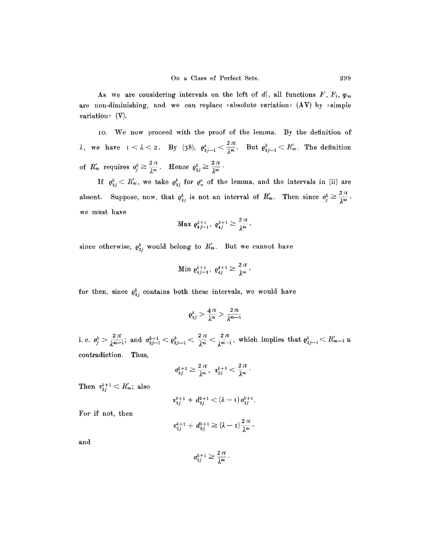As we are considering intervals on the left of  $d_1^1$ , all functions  $F, F_i, \varphi_m$ are non-diminishing, and we can replace »absolute variation»  $(AV)$  by »simple variation»  $(V)$ .

IO. We now proceed with the proof of the lemma. By the definition of  $\lambda$ , we have  $1 < \lambda < 2$ . By (38),  $\varrho_{2j-1}^k < \frac{2\pi}{\lambda^m}$ . But  $\varrho_{2j-1}^k < R'_m$ . The definition of  $R'_m$  requires  $o_j^k \geq \frac{2\pi}{\lambda^m}$ . Hence  $o_{2j}^k \geq \frac{2\pi}{\lambda^m}$ .

If  $\varrho_{2j}^k \leq R'_m$ , we take  $\varrho_{2j}^k$  for  $\varrho_{n,j}^s$  of the lemma, and the intervals in (ii) are absent. Suppose, now, that  $q_{2j}^k$  is not an interval of  $R'_m$ . Then since  $q_j^k \geq \frac{2\pi}{\lambda^m}$ , we must have

$$
\text{Max } \varrho_{4j-1}^{k+1}, \ \varrho_{4j}^{k+1} \geq \frac{2 \pi}{\lambda^m},
$$

since otherwise,  $\varrho_{2j}^k$  would belong to  $R'_m$ . But we cannot have

Min 
$$
\varrho_{4j-1}^{k+1}
$$
,  $\varrho_{4j}^{k+1} \geq \frac{2\pi}{\lambda^m}$ ,

for then, since  $\rho_{2j}^k$  contains both these intervals, we would have

$$
\varrho_{2j}^k > \frac{4\pi}{\lambda^m} > \frac{2\pi}{\lambda^{m-1}}
$$

i. e.  $\sigma_i^k > \frac{2\pi}{2m-1}$ ; and  $\sigma_{2i-1}^{k+1} < \rho_{2i-1}^k < \frac{2\pi}{2m} < \frac{2\pi}{2m-1}$ , which implies that  $\rho_{2i-1}^k < R'_{m-1}$  a, contradiction. Thus,

2~V 27g O& '+1 ~ -- , *T k+l \_ .* 

Then  $r_{2j}^{k+1} < R'_m$ ; also

$$
\tau_{2j}^{k+1} + d_{2j}^{k+1} < (\lambda - 1) \, \sigma_{2j}^{k+1}.
$$

For if not, then

$$
t_{2j}^{k+1}+d_{2j}^{k+1}\geq (\lambda-1)\frac{2\pi}{\lambda^m},
$$

and

$$
\sigma_{2j}^{k+1}\geq \frac{2\,\pi}{\lambda^m}
$$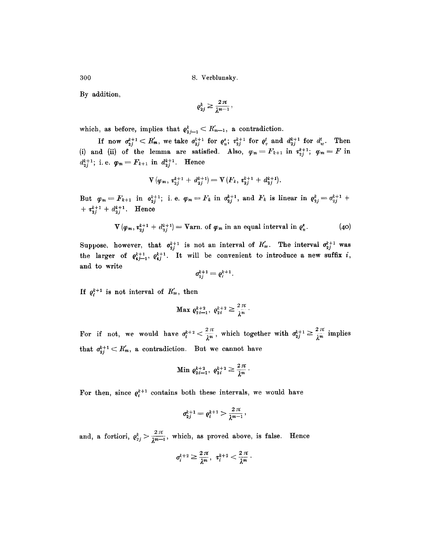By addition,

$$
\varrho_{2j}^k \geq \frac{2\,\pi}{\lambda^{m-1}}\,,
$$

which, as before, implies that  $\varrho_{2j-1}^k < R'_{m-1}$ , a contradiction.

If now  $\sigma_{2j}^{k+1} < R'_m$ , we take  $\sigma_{2j}^{k+1}$  for  $\varrho_{u}^{s}$ ;  $\tau_{2j}^{k+1}$  for  $\varrho_{v}^{t}$  and  $d_{2j}^{k+1}$  for  $d'_w$ . Then (i) and (ii) of the lemma are satisfied. Also,  $\varphi_m = F_{k+1}$  in  $\tau_{2j}^{k+1}$ ;  $\varphi_m = F$  in  $d_{2j}^{k+1}$ ; i.e.  $\varphi_m = F_{k+1}$  in  $d_{2j}^{k+1}$ . Hence

$$
V(\varphi_m, \tau_{2j}^{k+1} + d_{2j}^{k+1}) = V(F_k, \tau_{2j}^{k+1} + d_{2j}^{k+1}).
$$

But  $\varphi_m = F_{k+1}$  in  $o_{2j}^{k+1}$ ; i.e.  $\varphi_m = F_k$  in  $\sigma_{2j}^{k+1}$ , and  $F_k$  is linear in  $\varphi_{2j}^k = \sigma_{2j}^{k+1}$  +  $+ \tau_{2i}^{k+1} + d_{2i}^{k+1}$ . Hence

$$
\mathbf{V}\left(\varphi_m,\,\mathbf{z}_{2j}^{k+1}+\,d_{2j}^{k+1}\right)=\mathbf{Varn}\,\,\text{of}\,\,\varphi_m\,\,\text{in an equal interval in}\,\,\varrho_u^s.\tag{40}
$$

Suppose, however, that  $\sigma_{2j}^{k+1}$  is not an interval of  $R'_m$ . The interval  $\sigma_{2j}^{k+1}$  was the larger of  $\varrho_{4j-1}^{k+1}$ ,  $\varrho_{4j}^{k+1}$ . It will be convenient to introduce a new suffix i, and to write

$$
\sigma_{2j}^{k+1}=\varrho_i^{k+1}.
$$

If  $\varrho_i^{k+1}$  is not interval of  $R'_m$ , then

Max 
$$
\varrho_{2i-1}^{k+2}
$$
,  $\varrho_{2i}^{k+2} \geq \frac{2\pi}{\lambda^m}$ .

For if not, we would have  $\sigma_i^{k+2} < \frac{2\pi}{2m}$ , which together with  $\sigma_{2i}^{k+1} \ge \frac{2\pi}{2m}$  implies that  $\sigma_{2i}^{k+1} < K'_m$ , a contradiction. But we cannot have

Min 
$$
\varrho_{2i-1}^{k+2}
$$
,  $\varrho_{2i}^{k+2} \ge \frac{2\pi}{\lambda^m}$ .

For then, since  $q_i^{k+1}$  contains both these intervals, we would have

$$
\textit{a}_{2j}^{k+1}=\varrho_{i}^{k+1}>\frac{2\,\pi}{\lambda^{m-1}},
$$

and, a fortiori,  $\rho_{2j}^k > \frac{2\pi}{\lambda^{m-1}}$ , which, as proved above, is false. Hence

$$
\sigma_i^{k+2}\geq \frac{2\,\pi}{\lambda^m},\ \ \tau_i^{k+2}<\frac{2\,\pi}{\lambda^m}\,.
$$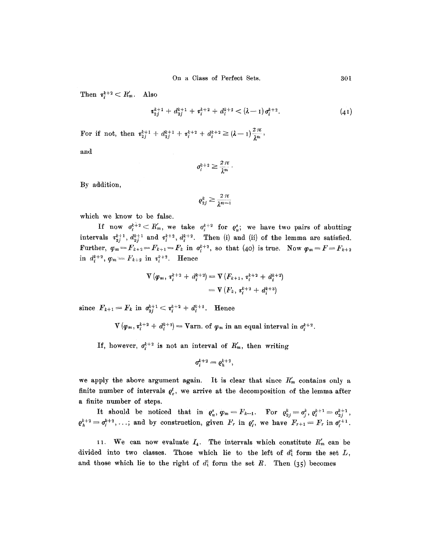Then  $\tau_i^{k+2} < R'_m$ . Also

$$
\tau_{2j}^{k+1} + d_{2j}^{k+1} + \tau_i^{k+2} + d_i^{k+2} < (\lambda - 1) \sigma_i^{k+2}.
$$
\n(41)

For if not, then  $\tau_{2j}^{k+1} + d_{2j}^{k+1} + \tau_i^{k+2} + d_i^{k+2} \geq (\lambda - 1) \frac{2\pi}{2^n}$ ,

and

$$
\sigma_i^{k+2} \geq \frac{2\,\pi}{\lambda^m}\,.
$$

By addition,

$$
\varrho_{2j}^k \geq \frac{2\,\pi}{\lambda^{m-1}}
$$

which we know to be false.

If now  $\sigma_i^{k+2} < R'_m$ , we take  $\sigma_i^{k+2}$  for  $\varrho_i^s$ , we have two pairs of abutting intervals  $\tau_{2j}^{k+1}$ ,  $d_{2j}^{k+1}$  and  $\tau_i^{k+2}$ ,  $d_i^{k+2}$ . Then (i) and (ii) of the lemma are satisfied. Further,  $\varphi_m = F_{k+2} = F_{k+1} = F_k$  in  $\sigma_i^{k+2}$ , so that (40) is true. Now  $\varphi_m = F = F_{k+2}$ in  $d_i^{k+2},~\varphi_m = F_{k+2}$  in  $\tau_i^{k+2}$ . Hence

$$
\begin{aligned} \nabla \left( \varphi_m, \, \tau_i^{k+2} \, + \, d_i^{k+2} \right) &= \nabla \left( F_{k+1}, \, \tau_i^{k+2} \, + \, d_i^{k+2} \right) \\ \n&= \nabla \left( F_k, \, \tau_i^{k+2} \, + \, d_i^{k+3} \right) \n\end{aligned}
$$

since  $F_{k+1}=F_k$  in  $\sigma_{2j}^{k+1} < \tau_i^{k+2} + d_i^{k+2}$ . Hence

 $V(\varphi_m, \varphi_i^{k+2} + d_i^{k+2}) = \text{Varn. of } \varphi_m \text{ in an equal interval in } \sigma_i^{k+2}$ .

If, however,  $\sigma_i^{k+2}$  is not an interval of  $R'_m$ , then writing

$$
\sigma_i^{k+2}=\varrho_h^{k+2},
$$

we apply the above argument again. It is clear that since  $R'_m$  contains only a finite number of intervals  $\varrho_r^t$ , we arrive at the decomposition of the lemma after a finite number of steps.

It should be noticed that in  $\rho_u^s, \, \varphi_m = F_{k-1}$ . For  $\rho_{2j}^k = \sigma_j^k, \, \varrho_i^{k+1} = \sigma_{2j}^{k+1}$ ,  $\varrho_k^{k+2}=\sigma_i^{k+2},\ldots$ ; and by construction, given  $F_r$  in  $\varrho_i^r$ , we have  $F_{r+1}=F_r$  in  $\sigma_i^{r+1}$ .

II. We can now evaluate  $I_4$ . The intervals which constitute  $R'_m$  can be divided into two classes. Those which lie to the left of  $d_1^1$  form the set  $L$ , and those which lie to the right of  $d_1^1$  form the set  $R$ . Then (35) becomes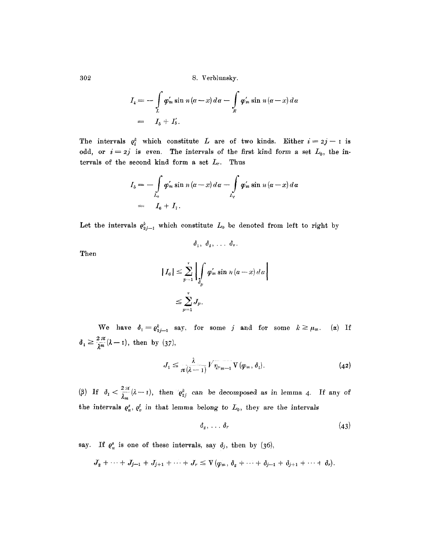$$
I_4 = -\int\limits_L \varphi'_m \sin n(\alpha - x) d\alpha - \int\limits_R \varphi'_m \sin n(\alpha - x) d\alpha
$$
  
= 
$$
I_5 + I'_5.
$$

The intervals  $\varrho_i^k$  which constitute L are of two kinds. Either  $i = 2j - 1$  is odd, or  $i = 2j$  is even. The intervals of the first kind form a set  $L_0$ , the intervals of the second kind form a set  $L_e$ . Thus

$$
I_5 = -\int\limits_{L_0} \varphi'_m \sin n(\alpha - x) d\alpha - \int\limits_{L_e} \varphi'_m \sin n(\alpha - x) d\alpha
$$
  
=  $I_6 + I_7$ .

Let the intervals  $\varrho_{2i-1}^k$  which constitute  $L_0$  be denoted from left to right by

$$
\delta_1, \ \delta_2, \ \ldots \ \delta_r
$$

Then

$$
|I_6| \leq \sum_{p=1}^r \left| \int_{\delta_p} \varphi_m' \sin n (\alpha - x) d\alpha \right|
$$
  

$$
\leq \sum_{p=1}^r J_p.
$$

We have  $\delta_1 = \varrho_{2,i-1}^k$  say; for some *j* and for some  $k \geq \mu_m$ . (a) If  $\delta_1 \geq \frac{2\pi}{2m}(\lambda - 1)$ , then by (37),

$$
J_1 \leq \frac{\lambda}{\pi(\lambda-1)} V \overline{\eta_{\mu_{m-1}}} \, V(\varphi_m, \delta_1).
$$
 (42)

(3) If  $\delta_1 < \frac{2\pi}{\lambda_m}(\lambda - 1)$ , then  $\delta_2$  can be decomposed as in lemma 4. If any of the intervals  $\varrho_u^s$ ,  $\varrho_v^t$  in that lemma belong to  $L_0$ , they are the intervals

$$
\delta_2, \ldots, \delta_r \tag{43}
$$

say. If  $\varrho_u^s$  is one of these intervals, say  $\delta_j$ , then by (36),

$$
J_2+\cdots+J_{j-1}+J_{j+1}+\cdots+J_r\leq V(\varphi_m,\delta_2+\cdots+\delta_{j-1}+\delta_{j+1}+\cdots+\delta_r).
$$

302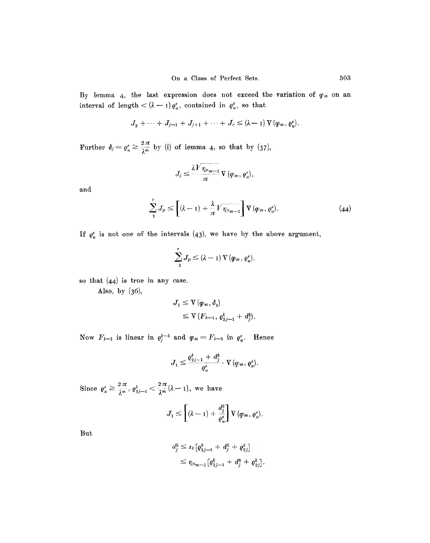By lemma 4, the last expression does not exceed the variation of  $\pmb{\varphi}_m$  on an interval of length  $<$   $(\lambda - 1) \varrho_u^s$ , contained in  $\varrho_u^s$ , so that

$$
J_2+\cdots+J_{j-1}+J_{j+1}+\cdots+J_r\leq (\lambda-1) \operatorname{V}(\varphi_m,\varrho^s_u).
$$

Further  $\delta_j = \varrho_n^s \ge \frac{2 \pi}{\lambda^m}$  by (i) of lemma 4, so that by (37),

$$
J_j \leq \frac{\lambda V \eta_{\mu_{m-1}}}{\pi} \mathbf{V}(\varphi_m, \varrho_u^s),
$$

and

$$
\sum_{2}^{r} J_{p} \leq \left[ (\lambda - 1) + \frac{\lambda}{\pi} V \overline{\eta_{\mu_{m-1}}} \right] \nabla (\varphi_{m}, \varrho_{u}^{s}). \tag{44}
$$

If  $e_u^s$  is not one of the intervals (43), we have by the above argument,

$$
\sum_{2}^{r}J_{p}\leq\left(\lambda-1\right)\operatorname*{V}\left(\pmb{\varphi}_{m},\,\pmb{\varrho}_{u}^{s}\right),
$$

so that (44) is true in any case.

Also, by (36),

$$
J_1 \leq V(\varphi_m, \delta_1)
$$
  
\$\leq\$ V( $F_{k-1}, \varrho_{2j-1}^k + d_j^k$ ).

Now  $F_{k-1}$  is linear in  $\varrho_j^{k-1}$  and  $\varphi_m = F_{k-1}$  in  $\varrho_i^s$ . Hence

$$
J_1 \leq \frac{\varrho_{2j-1}^k + d_j^k}{\varrho_u^s} \cdot \mathbf{V}\left(\varphi_m, \varrho_u^s\right).
$$

Since  $\varrho_u^s \geq \frac{2\pi}{\lambda^m}, \varrho_{2j-1}^k < \frac{2\pi}{\lambda^m}(\lambda-1)$ , we have

$$
J_1 \leq \left[ (\lambda - 1) + \frac{d_j^k}{\varrho_u^s} \right] \nabla \left( \varphi_m, \varrho_u^s \right).
$$

But

$$
d_j^k \leq \varepsilon_k \big[ \varrho_{2j-1}^k + d_j^k + \varrho_{2j}^k \big] \leq \eta_{\mu_{m-1}} \big[ \varrho_{2j-1}^k + d_j^k + \varrho_{2j}^k \big].
$$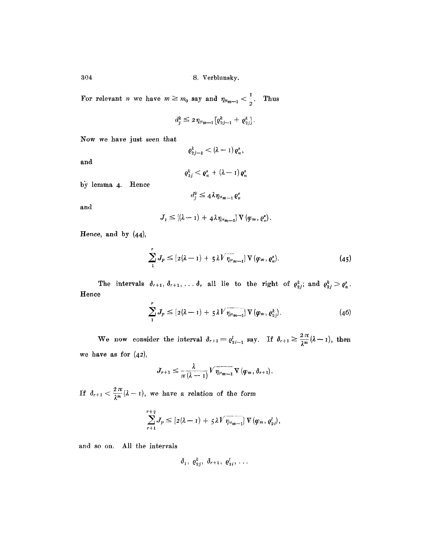For relevant *n* we have  $m \ge m_0$  say and  $\eta_{\mu_{m-1}} < \frac{1}{2}$ . Thus

$$
d_j^k \leq 2\eta_{\mu_{m-1}}\big[\varrho_{2j-1}^k + \varrho_{2j}^k\big].
$$

Now we have just seen that

$$
\varrho_{2j-1}^k<\left(\lambda-1\right)\varrho_{u}^s,
$$

and

$$
\varrho_{2j}^k < \varrho_u^s + (\lambda - \mathbf{1}) \, \varrho_u^s
$$

by lemma 4. Hence

$$
d_j^k \leq 4\lambda \eta_{u_{m-1}} \varrho_u^s
$$

and

$$
J_1 \leq [(\lambda - 1) + 4\lambda \eta_{\mu_{m-1}}] \mathbf{V}(\varphi_m, \varrho_u^*)
$$

Hence, and by (44),

$$
\sum_{1}^{r} J_p \leq [2(\lambda - 1) + 5\lambda \sqrt{\eta_{\mu_{m-1}}}] \mathbf{V}(\varphi_m, \varrho_n^s).
$$
 (45)

The intervals  $\delta_{r+1}, \delta_{r+2}, \ldots, \delta_r$  all lie to the right of  $\varrho_{s,i}^k$ ; and  $\varrho_{s,i}^s > \varrho_{s,i}^s$ . Hence

$$
\sum_{1}^{r} J_p \leq [2(\lambda - 1) + 5\lambda V \overline{\eta_{\mu_{m-1}}}] \mathbf{V}(\boldsymbol{\varphi}_m, \boldsymbol{\varrho}_{2j}^k).
$$
 (46)

We now consider the interval  $\delta_{r+1} = \varrho_{2i-1}^l$  say. If  $\delta_{r+1} \geq \frac{2\pi}{\lambda^m} (\lambda - 1)$ , then we have as for  $(42)$ ,

$$
J_{r+1} \leq \frac{\lambda}{\pi(\lambda-1)} V \overline{\eta_{\mu_{m-1}}} \, V \left(\varphi_m, \delta_{r+1}\right).
$$

If  $\delta_{r+1} < \frac{2\pi}{\lambda^m}(\lambda - 1)$ , we have a relation of the form

$$
\sum_{r+1}^{r+q} J_p \leq [2(\lambda-1)+5\lambda \sqrt{n_{u_{m-1}}}]\,\nabla(\varphi_m,\varrho_{2i}^l),
$$

and so on. All the intervals

$$
\delta_1, \ \varrho_{2j}^k, \ \delta_{r+1}, \ \varrho_{2i}^l, \ \ldots
$$